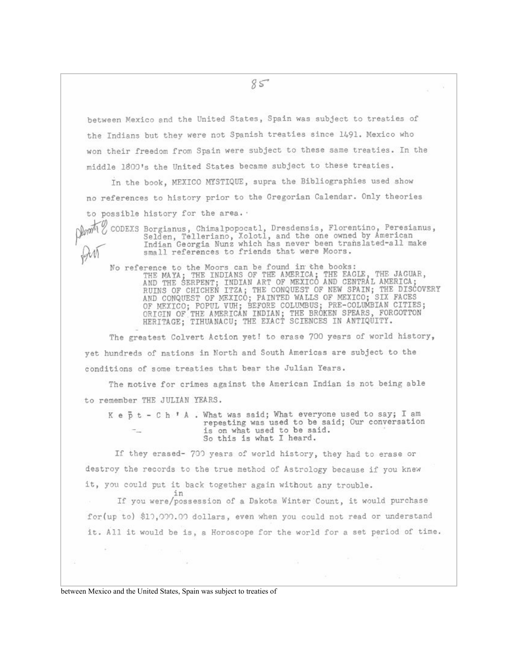between Mexico and the United States, Spain was subject to treaties of the Indians but they were not Spanish treaties since 1491. Mexico who won their freedom from Spain were subject to these same treaties. In the middle 1800's the United States became subject to these treaties.

In the book, MEXICO MYSTIQUE, supra the Bibliographies used show no references to history prior to the Gregorian Calendar. Only theories to possible history for the area. .

CODEXS Borgianus, Chimalpopocatl, Dresdensis, Florentino, Peresianus, Selden, Telleriano, Xolotl, and the one owned by American Indian Georgia Nunz which has never been translated-all make small references to friends that were Moors.

No reference to the Moors can be found in the books:<br>THE MAYA; THE INDIANS OF THE AMERICA; THE EAGLE, THE JAGUAR,<br>AND THE SERPENT; INDIAN ART OF MEXICO AND CENTRAL AMERICA;<br>RUINS OF CHICHEN ITZA; THE CONQUEST OF NEW SPAIN;

The greatest Colvert Action yet! to erase 700 years of world history, yet hundreds of nations in North and South Americas are subject to the conditions of some treaties that bear the Julian Years.

The motive for crimes against the American Indian is not being able to remember THE JULIAN YEARS.

K e b t - C h \* A . What was said; What everyone used to say; I am repeating was used to be said; Our conversation is on what used to be said. So this is what I heard.

If they erased- 700 years of world history, they had to erase or destroy the records to the true method of Astrology because if you knew it, you could put it back together again without any trouble.

in If you were/possession of a Dakota Winter Count, it would purchase for(up to) \$10,000.00 dollars, even when you could not read or understand it. All it would be is, a Horoscope for the world for a set period of time.

between Mexico and the United States, Spain was subject to treaties of